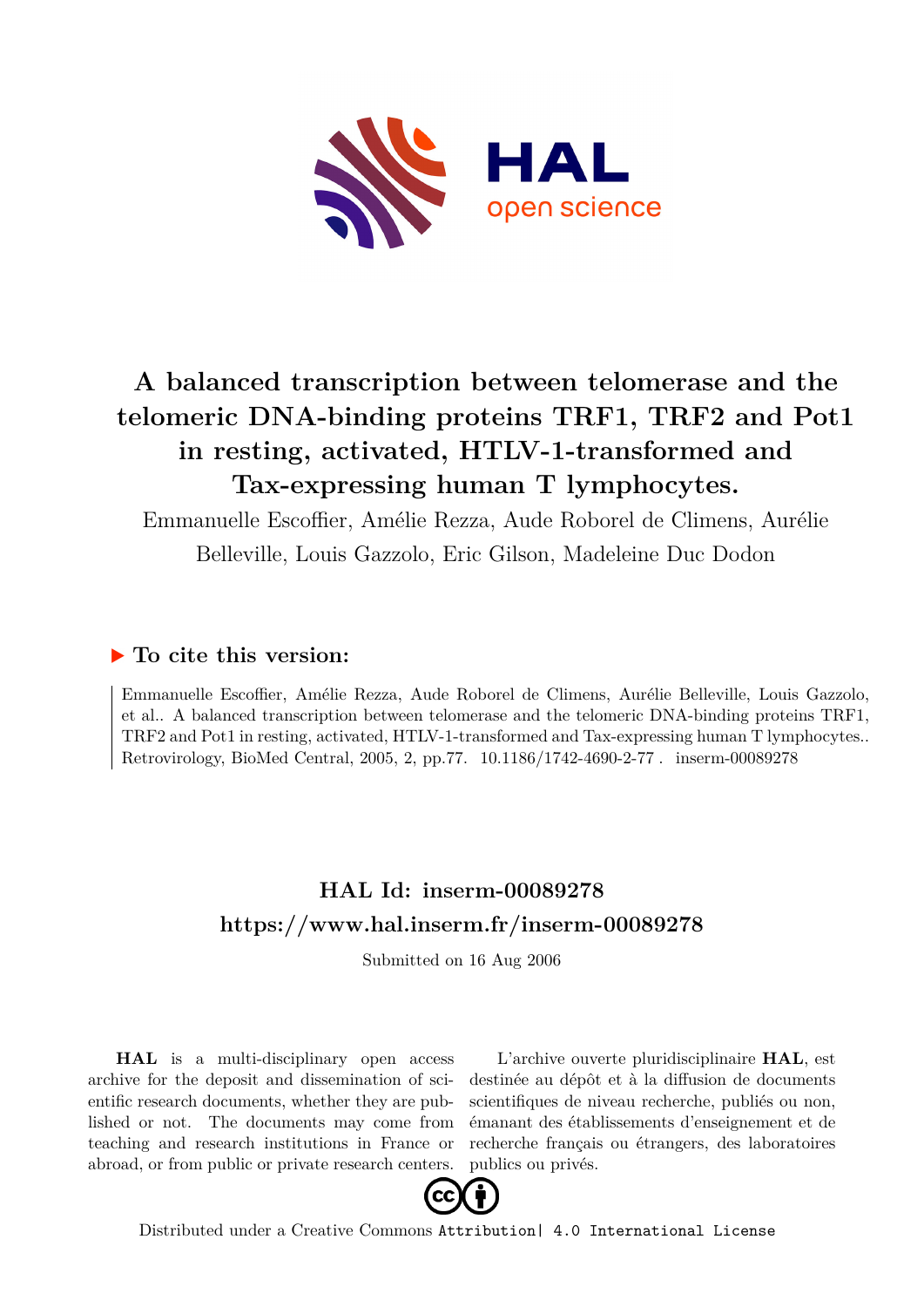

# **A balanced transcription between telomerase and the telomeric DNA-binding proteins TRF1, TRF2 and Pot1 in resting, activated, HTLV-1-transformed and Tax-expressing human T lymphocytes.**

Emmanuelle Escoffier, Amélie Rezza, Aude Roborel de Climens, Aurélie Belleville, Louis Gazzolo, Eric Gilson, Madeleine Duc Dodon

# **To cite this version:**

Emmanuelle Escoffier, Amélie Rezza, Aude Roborel de Climens, Aurélie Belleville, Louis Gazzolo, et al.. A balanced transcription between telomerase and the telomeric DNA-binding proteins TRF1, TRF2 and Pot1 in resting, activated, HTLV-1-transformed and Tax-expressing human T lymphocytes.. Retrovirology, BioMed Central, 2005, 2, pp.77. 10.1186/1742-4690-2-77. inserm-00089278

# **HAL Id: inserm-00089278 <https://www.hal.inserm.fr/inserm-00089278>**

Submitted on 16 Aug 2006

**HAL** is a multi-disciplinary open access archive for the deposit and dissemination of scientific research documents, whether they are published or not. The documents may come from teaching and research institutions in France or abroad, or from public or private research centers.

L'archive ouverte pluridisciplinaire **HAL**, est destinée au dépôt et à la diffusion de documents scientifiques de niveau recherche, publiés ou non, émanant des établissements d'enseignement et de recherche français ou étrangers, des laboratoires publics ou privés.



Distributed under a Creative Commons [Attribution| 4.0 International License](http://creativecommons.org/licenses/by/4.0/)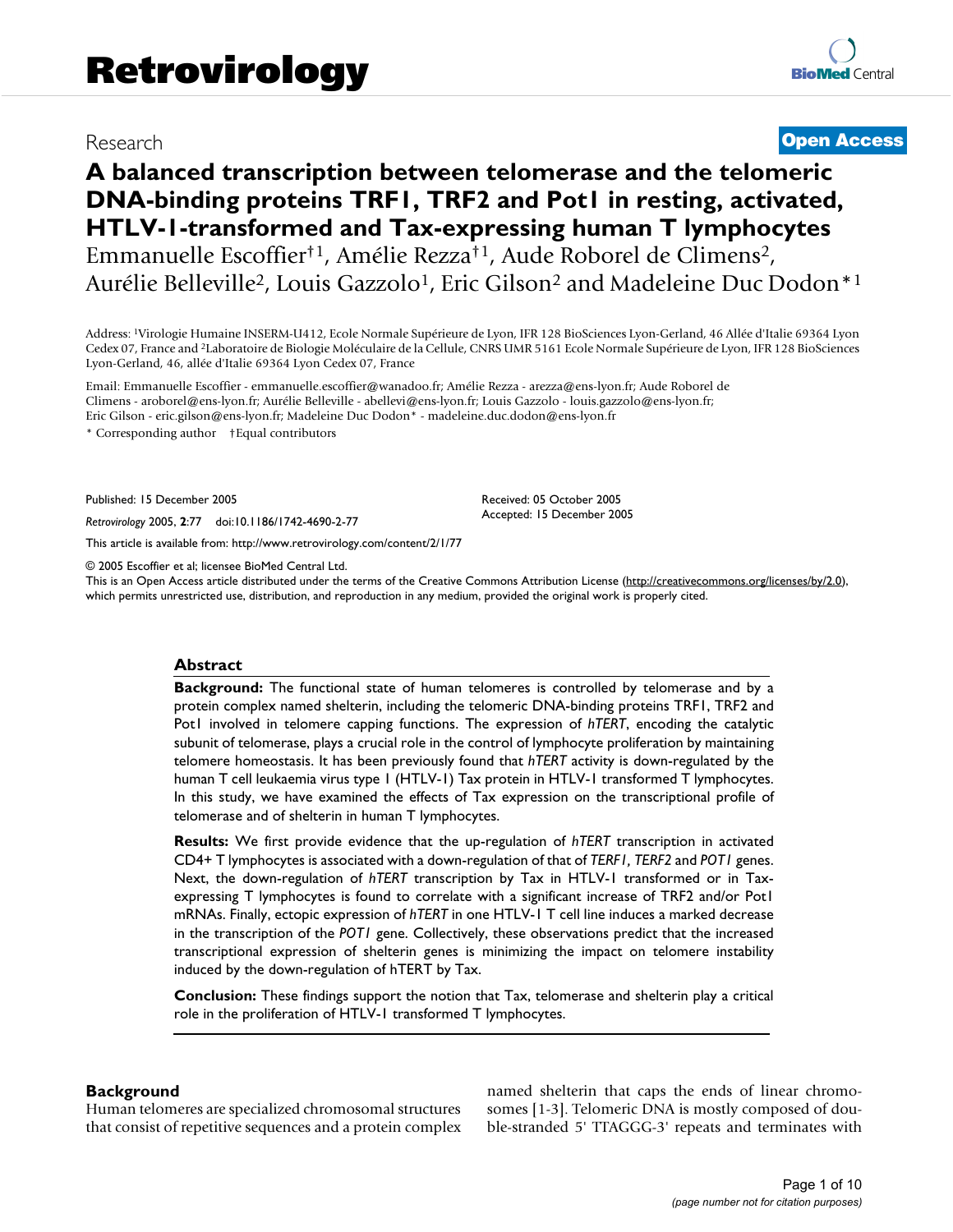# Research **[Open Access](http://www.biomedcentral.com/info/about/charter/)**

# **A balanced transcription between telomerase and the telomeric DNA-binding proteins TRF1, TRF2 and Pot1 in resting, activated, HTLV-1-transformed and Tax-expressing human T lymphocytes** Emmanuelle Escoffier†1, Amélie Rezza†1, Aude Roborel de Climens<sup>2</sup>, Aurélie Belleville<sup>2</sup>, Louis Gazzolo<sup>1</sup>, Eric Gilson<sup>2</sup> and Madeleine Duc Dodon<sup>\*1</sup>

Address: <sup>1</sup>Virologie Humaine INSERM-U412, Ecole Normale Supérieure de Lyon, IFR 128 BioSciences Lyon-Gerland, 46 Allée d'Italie 69364 Lyon Cedex 07, France and <sup>2</sup>Laboratoire de Biologie Moléculaire de la Cellule, CNRS UMR 5161 Ecole Normale Supérieure de Lyon, IFR 128 BioSciences Lyon-Gerland, 46, allée d'Italie 69364 Lyon Cedex 07, France

Email: Emmanuelle Escoffier - emmanuelle.escoffier@wanadoo.fr; Amélie Rezza - arezza@ens-lyon.fr; Aude Roborel de Climens - aroborel@ens-lyon.fr; Aurélie Belleville - abellevi@ens-lyon.fr; Louis Gazzolo - louis.gazzolo@ens-lyon.fr; Eric Gilson - eric.gilson@ens-lyon.fr; Madeleine Duc Dodon\* - madeleine.duc.dodon@ens-lyon.fr

\* Corresponding author †Equal contributors

Published: 15 December 2005

*Retrovirology* 2005, **2**:77 doi:10.1186/1742-4690-2-77

[This article is available from: http://www.retrovirology.com/content/2/1/77](http://www.retrovirology.com/content/2/1/77)

© 2005 Escoffier et al; licensee BioMed Central Ltd.

This is an Open Access article distributed under the terms of the Creative Commons Attribution License [\(http://creativecommons.org/licenses/by/2.0\)](http://creativecommons.org/licenses/by/2.0), which permits unrestricted use, distribution, and reproduction in any medium, provided the original work is properly cited.

Received: 05 October 2005 Accepted: 15 December 2005

## **Abstract**

**Background:** The functional state of human telomeres is controlled by telomerase and by a protein complex named shelterin, including the telomeric DNA-binding proteins TRF1, TRF2 and Pot1 involved in telomere capping functions. The expression of *hTERT*, encoding the catalytic subunit of telomerase, plays a crucial role in the control of lymphocyte proliferation by maintaining telomere homeostasis. It has been previously found that *hTERT* activity is down-regulated by the human T cell leukaemia virus type 1 (HTLV-1) Tax protein in HTLV-1 transformed T lymphocytes. In this study, we have examined the effects of Tax expression on the transcriptional profile of telomerase and of shelterin in human T lymphocytes.

**Results:** We first provide evidence that the up-regulation of *hTERT* transcription in activated CD4+ T lymphocytes is associated with a down-regulation of that of *TERF1, TERF2* and *POT1* genes. Next, the down-regulation of *hTERT* transcription by Tax in HTLV-1 transformed or in Taxexpressing T lymphocytes is found to correlate with a significant increase of TRF2 and/or Pot1 mRNAs. Finally, ectopic expression of *hTERT* in one HTLV-1 T cell line induces a marked decrease in the transcription of the *POT1* gene. Collectively, these observations predict that the increased transcriptional expression of shelterin genes is minimizing the impact on telomere instability induced by the down-regulation of hTERT by Tax.

**Conclusion:** These findings support the notion that Tax, telomerase and shelterin play a critical role in the proliferation of HTLV-1 transformed T lymphocytes.

#### **Background**

Human telomeres are specialized chromosomal structures that consist of repetitive sequences and a protein complex named shelterin that caps the ends of linear chromosomes [1-3]. Telomeric DNA is mostly composed of double-stranded 5' TTAGGG-3' repeats and terminates with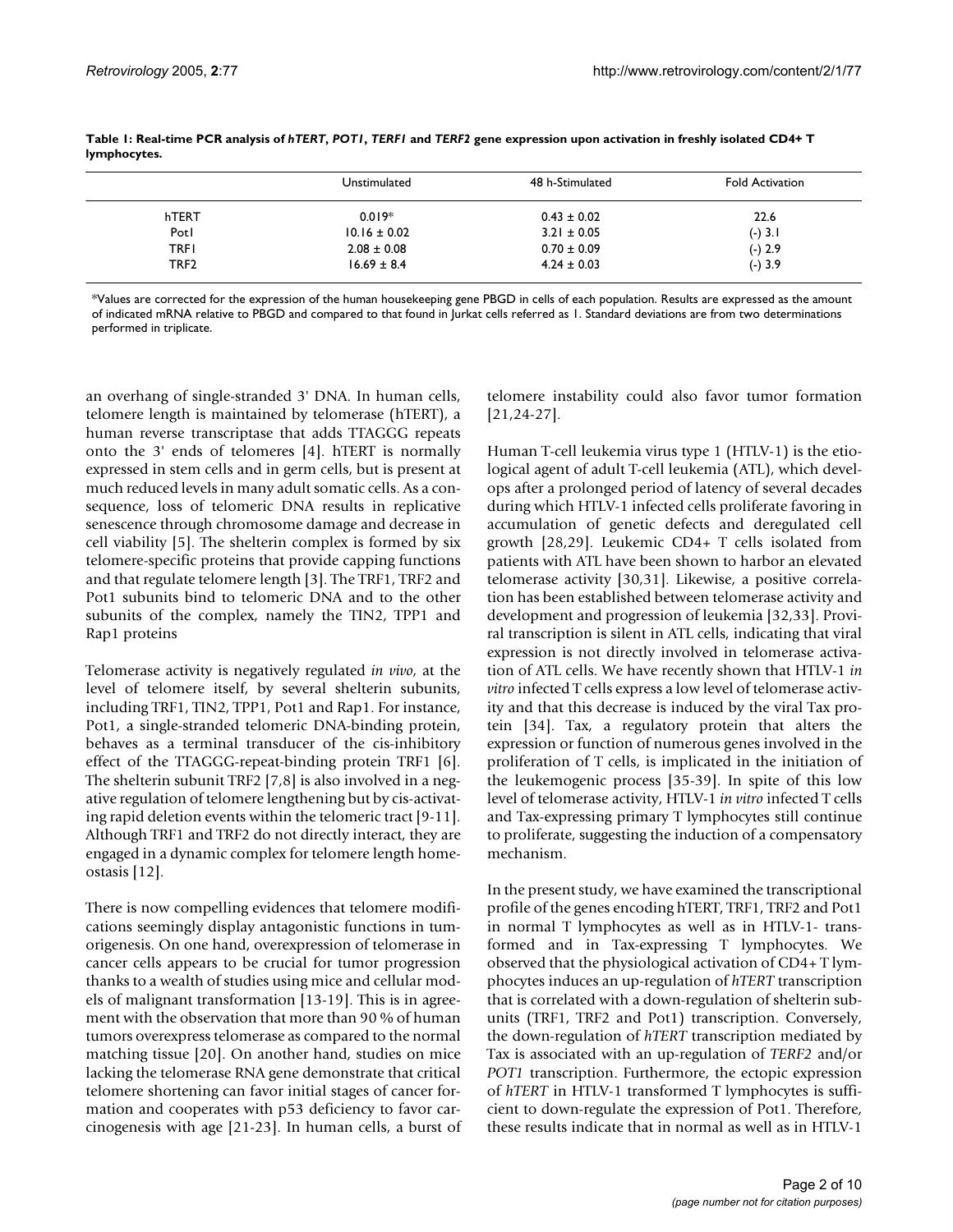|                  | Unstimulated     | 48 h-Stimulated | <b>Fold Activation</b> |
|------------------|------------------|-----------------|------------------------|
| hTERT            | $0.019*$         | $0.43 \pm 0.02$ | 22.6                   |
| Potl             | $10.16 \pm 0.02$ | $3.21 \pm 0.05$ | $(-) 3.1$              |
| <b>TRFI</b>      | $2.08 \pm 0.08$  | $0.70 \pm 0.09$ | $(-) 2.9$              |
| TRF <sub>2</sub> | $16.69 \pm 8.4$  | $4.24 \pm 0.03$ | $(-) 3.9$              |

**Table 1: Real-time PCR analysis of** *hTERT***,** *POT1***,** *TERF1* **and** *TERF2* **gene expression upon activation in freshly isolated CD4+ T lymphocytes.**

\*Values are corrected for the expression of the human housekeeping gene PBGD in cells of each population. Results are expressed as the amount of indicated mRNA relative to PBGD and compared to that found in Jurkat cells referred as 1. Standard deviations are from two determinations performed in triplicate.

an overhang of single-stranded 3' DNA. In human cells, telomere length is maintained by telomerase (hTERT), a human reverse transcriptase that adds TTAGGG repeats onto the 3' ends of telomeres [4]. hTERT is normally expressed in stem cells and in germ cells, but is present at much reduced levels in many adult somatic cells. As a consequence, loss of telomeric DNA results in replicative senescence through chromosome damage and decrease in cell viability [5]. The shelterin complex is formed by six telomere-specific proteins that provide capping functions and that regulate telomere length [3]. The TRF1, TRF2 and Pot1 subunits bind to telomeric DNA and to the other subunits of the complex, namely the TIN2, TPP1 and Rap1 proteins

Telomerase activity is negatively regulated *in vivo*, at the level of telomere itself, by several shelterin subunits, including TRF1, TIN2, TPP1, Pot1 and Rap1. For instance, Pot1, a single-stranded telomeric DNA-binding protein, behaves as a terminal transducer of the cis-inhibitory effect of the TTAGGG-repeat-binding protein TRF1 [6]. The shelterin subunit TRF2 [7,8] is also involved in a negative regulation of telomere lengthening but by cis-activating rapid deletion events within the telomeric tract [9-11]. Although TRF1 and TRF2 do not directly interact, they are engaged in a dynamic complex for telomere length homeostasis [12].

There is now compelling evidences that telomere modifications seemingly display antagonistic functions in tumorigenesis. On one hand, overexpression of telomerase in cancer cells appears to be crucial for tumor progression thanks to a wealth of studies using mice and cellular models of malignant transformation [13-19]. This is in agreement with the observation that more than 90 % of human tumors overexpress telomerase as compared to the normal matching tissue [20]. On another hand, studies on mice lacking the telomerase RNA gene demonstrate that critical telomere shortening can favor initial stages of cancer formation and cooperates with p53 deficiency to favor carcinogenesis with age [21-23]. In human cells, a burst of telomere instability could also favor tumor formation [21,24-27].

Human T-cell leukemia virus type 1 (HTLV-1) is the etiological agent of adult T-cell leukemia (ATL), which develops after a prolonged period of latency of several decades during which HTLV-1 infected cells proliferate favoring in accumulation of genetic defects and deregulated cell growth [28,29]. Leukemic CD4+ T cells isolated from patients with ATL have been shown to harbor an elevated telomerase activity [30,31]. Likewise, a positive correlation has been established between telomerase activity and development and progression of leukemia [32,33]. Proviral transcription is silent in ATL cells, indicating that viral expression is not directly involved in telomerase activation of ATL cells. We have recently shown that HTLV-1 *in vitro* infected T cells express a low level of telomerase activity and that this decrease is induced by the viral Tax protein [34]. Tax, a regulatory protein that alters the expression or function of numerous genes involved in the proliferation of T cells, is implicated in the initiation of the leukemogenic process [35-39]. In spite of this low level of telomerase activity, HTLV-1 *in vitro* infected T cells and Tax-expressing primary T lymphocytes still continue to proliferate, suggesting the induction of a compensatory mechanism.

In the present study, we have examined the transcriptional profile of the genes encoding hTERT, TRF1, TRF2 and Pot1 in normal T lymphocytes as well as in HTLV-1- transformed and in Tax-expressing T lymphocytes. We observed that the physiological activation of CD4+ T lymphocytes induces an up-regulation of *hTERT* transcription that is correlated with a down-regulation of shelterin subunits (TRF1, TRF2 and Pot1) transcription. Conversely, the down-regulation of *hTERT* transcription mediated by Tax is associated with an up-regulation of *TERF2* and/or *POT1* transcription. Furthermore, the ectopic expression of *hTERT* in HTLV-1 transformed T lymphocytes is sufficient to down-regulate the expression of Pot1. Therefore, these results indicate that in normal as well as in HTLV-1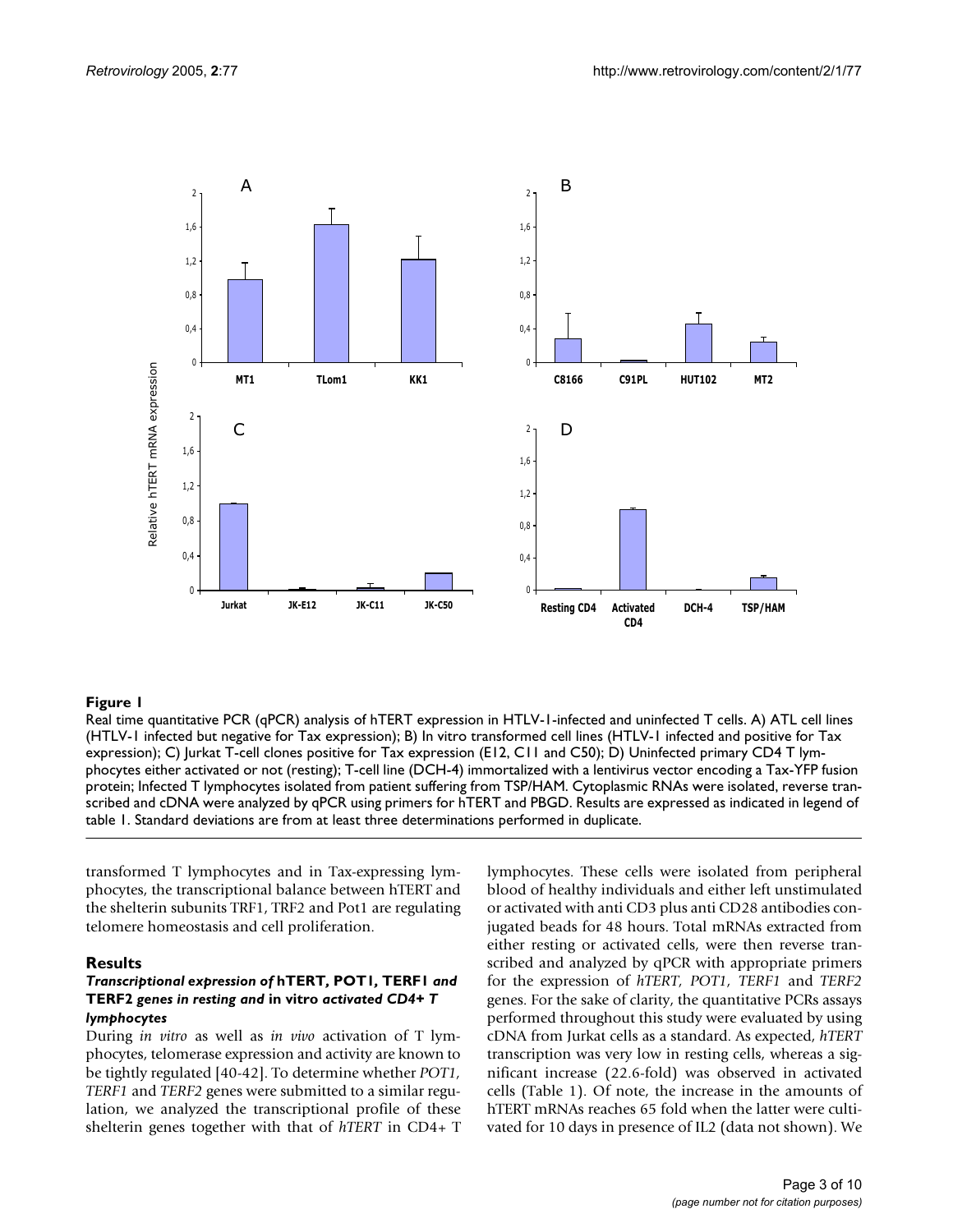

## Real time quantitative PCR (qPCR) an **Figure 1** alysis of hTERT expression in HTLV-1-infected and uninfected T cells

Real time quantitative PCR (qPCR) analysis of hTERT expression in HTLV-1-infected and uninfected T cells. A) ATL cell lines (HTLV-1 infected but negative for Tax expression); B) In vitro transformed cell lines (HTLV-1 infected and positive for Tax expression); C) Jurkat T-cell clones positive for Tax expression (E12, C11 and C50); D) Uninfected primary CD4 T lymphocytes either activated or not (resting); T-cell line (DCH-4) immortalized with a lentivirus vector encoding a Tax-YFP fusion protein; Infected T lymphocytes isolated from patient suffering from TSP/HAM. Cytoplasmic RNAs were isolated, reverse transcribed and cDNA were analyzed by qPCR using primers for hTERT and PBGD. Results are expressed as indicated in legend of table 1. Standard deviations are from at least three determinations performed in duplicate.

transformed T lymphocytes and in Tax-expressing lymphocytes, the transcriptional balance between hTERT and the shelterin subunits TRF1, TRF2 and Pot1 are regulating telomere homeostasis and cell proliferation.

#### **Results**

#### *Transcriptional expression of* **hTERT***,* **POT1***,* **TERF1** *and*  **TERF2** *genes in resting and* **in vitro** *activated CD4+ T lymphocytes*

During *in vitro* as well as *in vivo* activation of T lymphocytes, telomerase expression and activity are known to be tightly regulated [40-42]. To determine whether *POT1, TERF1* and *TERF2* genes were submitted to a similar regulation, we analyzed the transcriptional profile of these shelterin genes together with that of *hTERT* in CD4+ T lymphocytes. These cells were isolated from peripheral blood of healthy individuals and either left unstimulated or activated with anti CD3 plus anti CD28 antibodies conjugated beads for 48 hours. Total mRNAs extracted from either resting or activated cells, were then reverse transcribed and analyzed by qPCR with appropriate primers for the expression of *hTERT, POT1, TERF1* and *TERF2* genes. For the sake of clarity, the quantitative PCRs assays performed throughout this study were evaluated by using cDNA from Jurkat cells as a standard. As expected, *hTERT* transcription was very low in resting cells, whereas a significant increase (22.6-fold) was observed in activated cells (Table 1). Of note, the increase in the amounts of hTERT mRNAs reaches 65 fold when the latter were cultivated for 10 days in presence of IL2 (data not shown). We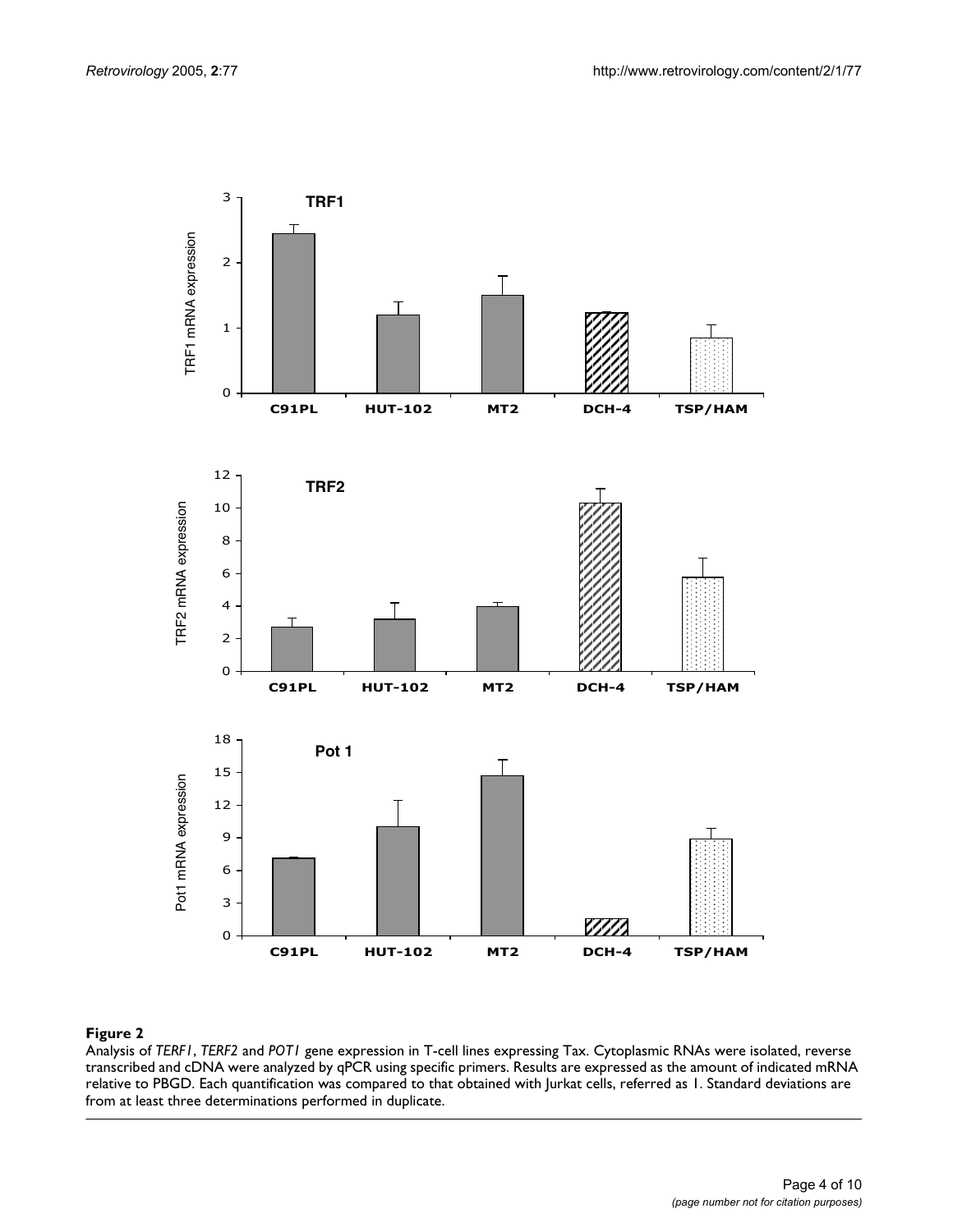

#### **Figure 2**

Analysis of *TERF1*, *TERF2* and *POT1* gene expression in T-cell lines expressing Tax. Cytoplasmic RNAs were isolated, reverse transcribed and cDNA were analyzed by qPCR using specific primers. Results are expressed as the amount of indicated mRNA relative to PBGD. Each quantification was compared to that obtained with Jurkat cells, referred as 1. Standard deviations are from at least three determinations performed in duplicate.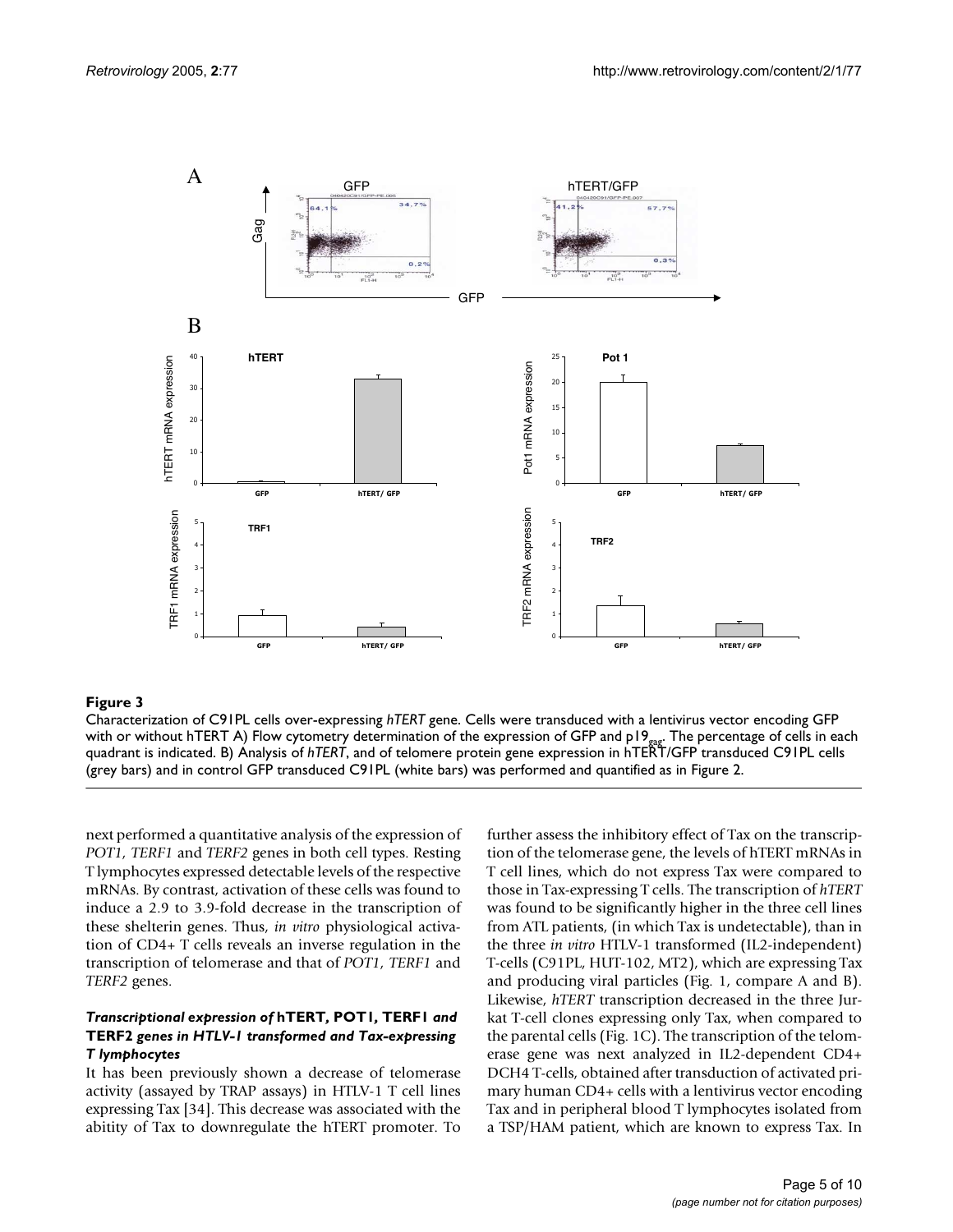

#### **Figure 3**

Characterization of C91PL cells over-expressing *hTERT* gene. Cells were transduced with a lentivirus vector encoding GFP with or without hTERT A) Flow cytometry determination of the expression of GFP and p19<sub>pap</sub>. The percentage of cells in each quadrant is indicated. B) Analysis of *hTERT*, and of telomere protein gene expression in hTERT/GFP transduced C91PL cells (grey bars) and in control GFP transduced C91PL (white bars) was performed and quantified as in Figure 2.

next performed a quantitative analysis of the expression of *POT1, TERF1* and *TERF2* genes in both cell types. Resting T lymphocytes expressed detectable levels of the respective mRNAs. By contrast, activation of these cells was found to induce a 2.9 to 3.9-fold decrease in the transcription of these shelterin genes. Thus, *in vitro* physiological activation of CD4+ T cells reveals an inverse regulation in the transcription of telomerase and that of *POT1, TERF1* and *TERF2* genes.

## *Transcriptional expression of* **hTERT***,* **POT1***,* **TERF1** *and*  **TERF2** *genes in HTLV-1 transformed and Tax-expressing T lymphocytes*

It has been previously shown a decrease of telomerase activity (assayed by TRAP assays) in HTLV-1 T cell lines expressing Tax [34]. This decrease was associated with the abitity of Tax to downregulate the hTERT promoter. To further assess the inhibitory effect of Tax on the transcription of the telomerase gene, the levels of hTERT mRNAs in T cell lines, which do not express Tax were compared to those in Tax-expressing T cells. The transcription of *hTERT* was found to be significantly higher in the three cell lines from ATL patients, (in which Tax is undetectable), than in the three *in vitro* HTLV-1 transformed (IL2-independent) T-cells (C91PL, HUT-102, MT2), which are expressing Tax and producing viral particles (Fig. 1, compare A and B). Likewise, *hTERT* transcription decreased in the three Jurkat T-cell clones expressing only Tax, when compared to the parental cells (Fig. 1C). The transcription of the telomerase gene was next analyzed in IL2-dependent CD4+ DCH4 T-cells, obtained after transduction of activated primary human CD4+ cells with a lentivirus vector encoding Tax and in peripheral blood T lymphocytes isolated from a TSP/HAM patient, which are known to express Tax. In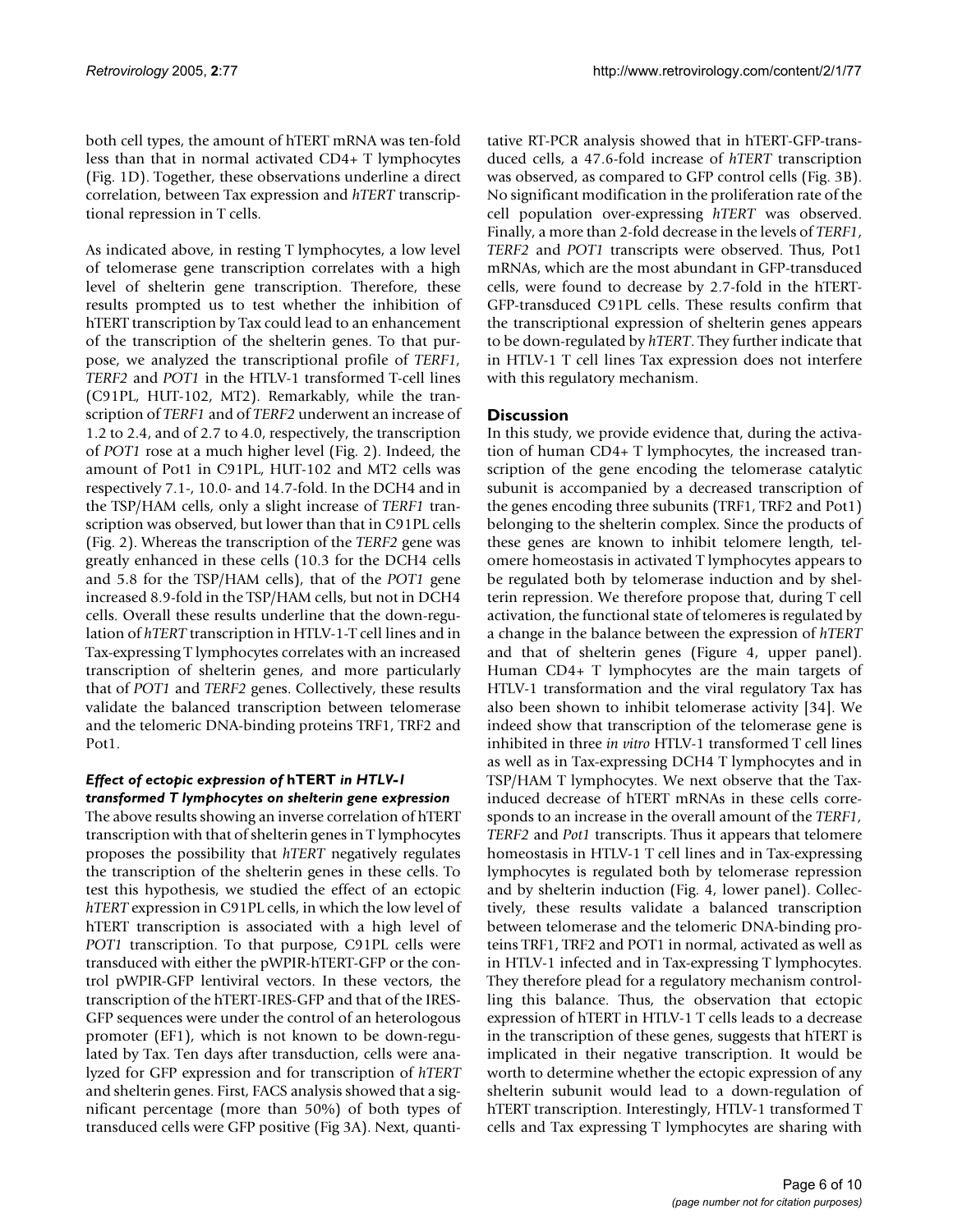both cell types, the amount of hTERT mRNA was ten-fold less than that in normal activated CD4+ T lymphocytes (Fig. 1D). Together, these observations underline a direct correlation, between Tax expression and *hTERT* transcriptional repression in T cells.

As indicated above, in resting T lymphocytes, a low level of telomerase gene transcription correlates with a high level of shelterin gene transcription. Therefore, these results prompted us to test whether the inhibition of hTERT transcription by Tax could lead to an enhancement of the transcription of the shelterin genes. To that purpose, we analyzed the transcriptional profile of *TERF1, TERF2* and *POT1* in the HTLV-1 transformed T-cell lines (C91PL, HUT-102, MT2). Remarkably, while the transcription of *TERF1* and of *TERF2* underwent an increase of 1.2 to 2.4, and of 2.7 to 4.0, respectively, the transcription of *POT1* rose at a much higher level (Fig. 2). Indeed, the amount of Pot1 in C91PL, HUT-102 and MT2 cells was respectively 7.1-, 10.0- and 14.7-fold. In the DCH4 and in the TSP/HAM cells, only a slight increase of *TERF1* transcription was observed, but lower than that in C91PL cells (Fig. 2). Whereas the transcription of the *TERF2* gene was greatly enhanced in these cells (10.3 for the DCH4 cells and 5.8 for the TSP/HAM cells), that of the *POT1* gene increased 8.9-fold in the TSP/HAM cells, but not in DCH4 cells. Overall these results underline that the down-regulation of *hTERT* transcription in HTLV-1-T cell lines and in Tax-expressing T lymphocytes correlates with an increased transcription of shelterin genes, and more particularly that of *POT1* and *TERF2* genes. Collectively, these results validate the balanced transcription between telomerase and the telomeric DNA-binding proteins TRF1, TRF2 and Pot1.

# *Effect of ectopic expression of* **hTERT** *in HTLV-1 transformed T lymphocytes on shelterin gene expression*

The above results showing an inverse correlation of hTERT transcription with that of shelterin genes in T lymphocytes proposes the possibility that *hTERT* negatively regulates the transcription of the shelterin genes in these cells. To test this hypothesis, we studied the effect of an ectopic *hTERT* expression in C91PL cells, in which the low level of hTERT transcription is associated with a high level of *POT1* transcription. To that purpose, C91PL cells were transduced with either the pWPIR-hTERT-GFP or the control pWPIR-GFP lentiviral vectors. In these vectors, the transcription of the hTERT-IRES-GFP and that of the IRES-GFP sequences were under the control of an heterologous promoter (EF1), which is not known to be down-regulated by Tax. Ten days after transduction, cells were analyzed for GFP expression and for transcription of *hTERT* and shelterin genes. First, FACS analysis showed that a significant percentage (more than 50%) of both types of transduced cells were GFP positive (Fig 3A). Next, quantitative RT-PCR analysis showed that in hTERT-GFP-transduced cells, a 47.6-fold increase of *hTERT* transcription was observed, as compared to GFP control cells (Fig. 3B). No significant modification in the proliferation rate of the cell population over-expressing *hTERT* was observed. Finally, a more than 2-fold decrease in the levels of *TERF1*, *TERF2* and *POT1* transcripts were observed. Thus, Pot1 mRNAs, which are the most abundant in GFP-transduced cells, were found to decrease by 2.7-fold in the hTERT-GFP-transduced C91PL cells. These results confirm that the transcriptional expression of shelterin genes appears to be down-regulated by *hTERT*. They further indicate that in HTLV-1 T cell lines Tax expression does not interfere with this regulatory mechanism.

# **Discussion**

In this study, we provide evidence that, during the activation of human CD4+ T lymphocytes, the increased transcription of the gene encoding the telomerase catalytic subunit is accompanied by a decreased transcription of the genes encoding three subunits (TRF1, TRF2 and Pot1) belonging to the shelterin complex. Since the products of these genes are known to inhibit telomere length, telomere homeostasis in activated T lymphocytes appears to be regulated both by telomerase induction and by shelterin repression. We therefore propose that, during T cell activation, the functional state of telomeres is regulated by a change in the balance between the expression of *hTERT* and that of shelterin genes (Figure 4, upper panel). Human CD4+ T lymphocytes are the main targets of HTLV-1 transformation and the viral regulatory Tax has also been shown to inhibit telomerase activity [34]. We indeed show that transcription of the telomerase gene is inhibited in three *in vitro* HTLV-1 transformed T cell lines as well as in Tax-expressing DCH4 T lymphocytes and in TSP/HAM T lymphocytes. We next observe that the Taxinduced decrease of hTERT mRNAs in these cells corresponds to an increase in the overall amount of the *TERF1, TERF2* and *Pot1* transcripts. Thus it appears that telomere homeostasis in HTLV-1 T cell lines and in Tax-expressing lymphocytes is regulated both by telomerase repression and by shelterin induction (Fig. 4, lower panel). Collectively, these results validate a balanced transcription between telomerase and the telomeric DNA-binding proteins TRF1, TRF2 and POT1 in normal, activated as well as in HTLV-1 infected and in Tax-expressing T lymphocytes. They therefore plead for a regulatory mechanism controlling this balance. Thus, the observation that ectopic expression of hTERT in HTLV-1 T cells leads to a decrease in the transcription of these genes, suggests that hTERT is implicated in their negative transcription. It would be worth to determine whether the ectopic expression of any shelterin subunit would lead to a down-regulation of hTERT transcription. Interestingly, HTLV-1 transformed T cells and Tax expressing T lymphocytes are sharing with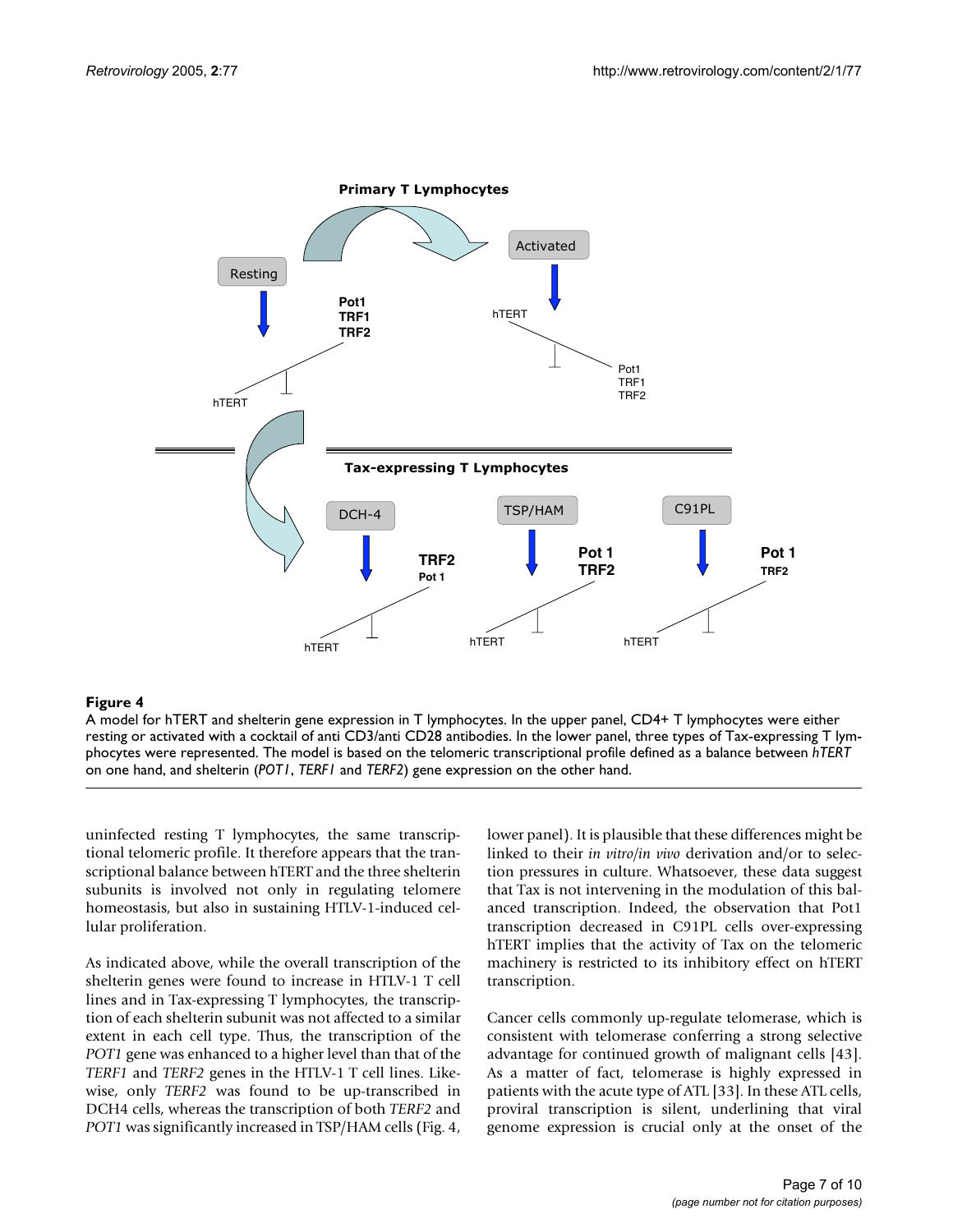

## **Figure 4**

A model for hTERT and shelterin gene expression in T lymphocytes. In the upper panel, CD4+ T lymphocytes were either resting or activated with a cocktail of anti CD3/anti CD28 antibodies. In the lower panel, three types of Tax-expressing T lymphocytes were represented. The model is based on the telomeric transcriptional profile defined as a balance between *hTERT*  on one hand, and shelterin (*POT1*, *TERF1* and *TERF2*) gene expression on the other hand.

uninfected resting T lymphocytes, the same transcriptional telomeric profile. It therefore appears that the transcriptional balance between hTERT and the three shelterin subunits is involved not only in regulating telomere homeostasis, but also in sustaining HTLV-1-induced cellular proliferation.

As indicated above, while the overall transcription of the shelterin genes were found to increase in HTLV-1 T cell lines and in Tax-expressing T lymphocytes, the transcription of each shelterin subunit was not affected to a similar extent in each cell type. Thus, the transcription of the *POT1* gene was enhanced to a higher level than that of the *TERF1* and *TERF2* genes in the HTLV-1 T cell lines. Likewise, only *TERF2* was found to be up-transcribed in DCH4 cells, whereas the transcription of both *TERF2* and *POT1* was significantly increased in TSP/HAM cells (Fig. 4, lower panel). It is plausible that these differences might be linked to their *in vitro/in vivo* derivation and/or to selection pressures in culture. Whatsoever, these data suggest that Tax is not intervening in the modulation of this balanced transcription. Indeed, the observation that Pot1 transcription decreased in C91PL cells over-expressing hTERT implies that the activity of Tax on the telomeric machinery is restricted to its inhibitory effect on hTERT transcription.

Cancer cells commonly up-regulate telomerase, which is consistent with telomerase conferring a strong selective advantage for continued growth of malignant cells [43]. As a matter of fact, telomerase is highly expressed in patients with the acute type of ATL [33]. In these ATL cells, proviral transcription is silent, underlining that viral genome expression is crucial only at the onset of the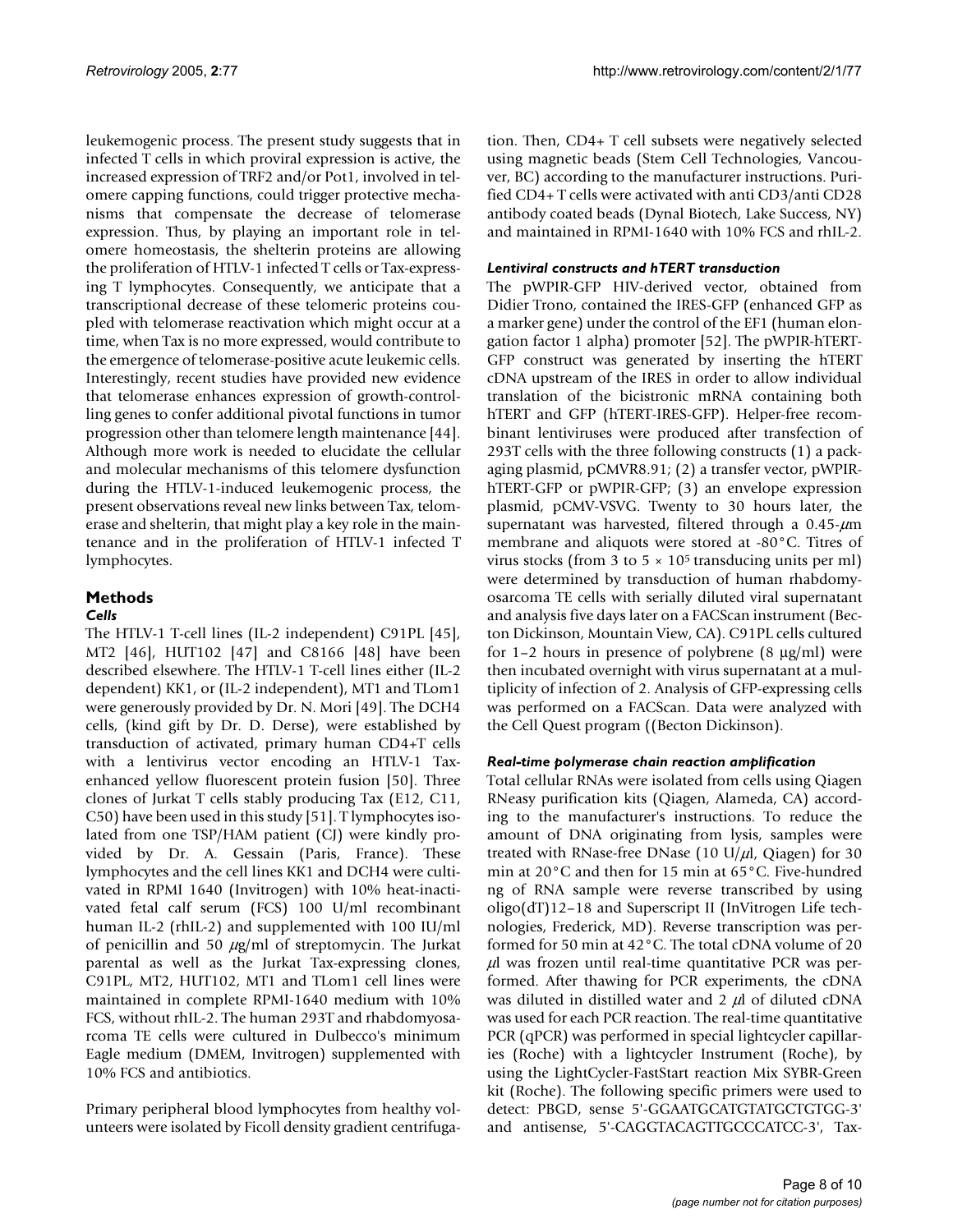leukemogenic process. The present study suggests that in infected T cells in which proviral expression is active, the increased expression of TRF2 and/or Pot1, involved in telomere capping functions, could trigger protective mechanisms that compensate the decrease of telomerase expression. Thus, by playing an important role in telomere homeostasis, the shelterin proteins are allowing the proliferation of HTLV-1 infected T cells or Tax-expressing T lymphocytes. Consequently, we anticipate that a transcriptional decrease of these telomeric proteins coupled with telomerase reactivation which might occur at a time, when Tax is no more expressed, would contribute to the emergence of telomerase-positive acute leukemic cells. Interestingly, recent studies have provided new evidence that telomerase enhances expression of growth-controlling genes to confer additional pivotal functions in tumor progression other than telomere length maintenance [44]. Although more work is needed to elucidate the cellular and molecular mechanisms of this telomere dysfunction during the HTLV-1-induced leukemogenic process, the present observations reveal new links between Tax, telomerase and shelterin, that might play a key role in the maintenance and in the proliferation of HTLV-1 infected T lymphocytes.

# **Methods**

# *Cells*

The HTLV-1 T-cell lines (IL-2 independent) C91PL [45], MT2 [46], HUT102 [47] and C8166 [48] have been described elsewhere. The HTLV-1 T-cell lines either (IL-2 dependent) KK1, or (IL-2 independent), MT1 and TLom1 were generously provided by Dr. N. Mori [49]. The DCH4 cells, (kind gift by Dr. D. Derse), were established by transduction of activated, primary human CD4+T cells with a lentivirus vector encoding an HTLV-1 Taxenhanced yellow fluorescent protein fusion [50]. Three clones of Jurkat T cells stably producing Tax (E12, C11, C50) have been used in this study [51]. T lymphocytes isolated from one TSP/HAM patient (CJ) were kindly provided by Dr. A. Gessain (Paris, France). These lymphocytes and the cell lines KK1 and DCH4 were cultivated in RPMI 1640 (Invitrogen) with 10% heat-inactivated fetal calf serum (FCS) 100 U/ml recombinant human IL-2 (rhIL-2) and supplemented with 100 IU/ml of penicillin and 50  $\mu$ g/ml of streptomycin. The Jurkat parental as well as the Jurkat Tax-expressing clones, C91PL, MT2, HUT102, MT1 and TLom1 cell lines were maintained in complete RPMI-1640 medium with 10% FCS, without rhIL-2. The human 293T and rhabdomyosarcoma TE cells were cultured in Dulbecco's minimum Eagle medium (DMEM, Invitrogen) supplemented with 10% FCS and antibiotics.

Primary peripheral blood lymphocytes from healthy volunteers were isolated by Ficoll density gradient centrifugation. Then, CD4+ T cell subsets were negatively selected using magnetic beads (Stem Cell Technologies, Vancouver, BC) according to the manufacturer instructions. Purified CD4+ T cells were activated with anti CD3/anti CD28 antibody coated beads (Dynal Biotech, Lake Success, NY) and maintained in RPMI-1640 with 10% FCS and rhIL-2.

# *Lentiviral constructs and hTERT transduction*

The pWPIR-GFP HIV-derived vector, obtained from Didier Trono, contained the IRES-GFP (enhanced GFP as a marker gene) under the control of the EF1 (human elongation factor 1 alpha) promoter [52]. The pWPIR-hTERT-GFP construct was generated by inserting the hTERT cDNA upstream of the IRES in order to allow individual translation of the bicistronic mRNA containing both hTERT and GFP (hTERT-IRES-GFP). Helper-free recombinant lentiviruses were produced after transfection of 293T cells with the three following constructs (1) a packaging plasmid, pCMVR8.91; (2) a transfer vector, pWPIRhTERT-GFP or pWPIR-GFP; (3) an envelope expression plasmid, pCMV-VSVG. Twenty to 30 hours later, the supernatant was harvested, filtered through a  $0.45-\mu m$ membrane and aliquots were stored at -80°C. Titres of virus stocks (from 3 to  $5 \times 10^5$  transducing units per ml) were determined by transduction of human rhabdomyosarcoma TE cells with serially diluted viral supernatant and analysis five days later on a FACScan instrument (Becton Dickinson, Mountain View, CA). C91PL cells cultured for 1–2 hours in presence of polybrene  $(8 \mu g/ml)$  were then incubated overnight with virus supernatant at a multiplicity of infection of 2. Analysis of GFP-expressing cells was performed on a FACScan. Data were analyzed with the Cell Quest program ((Becton Dickinson).

# *Real-time polymerase chain reaction amplification*

Total cellular RNAs were isolated from cells using Qiagen RNeasy purification kits (Qiagen, Alameda, CA) according to the manufacturer's instructions. To reduce the amount of DNA originating from lysis, samples were treated with RNase-free DNase (10 U/ $\mu$ l, Qiagen) for 30 min at 20°C and then for 15 min at 65°C. Five-hundred ng of RNA sample were reverse transcribed by using oligo(dT)12–18 and Superscript II (InVitrogen Life technologies, Frederick, MD). Reverse transcription was performed for 50 min at 42°C. The total cDNA volume of 20  $\mu$ l was frozen until real-time quantitative PCR was performed. After thawing for PCR experiments, the cDNA was diluted in distilled water and  $2 \mu$ l of diluted cDNA was used for each PCR reaction. The real-time quantitative PCR (qPCR) was performed in special lightcycler capillaries (Roche) with a lightcycler Instrument (Roche), by using the LightCycler-FastStart reaction Mix SYBR-Green kit (Roche). The following specific primers were used to detect: PBGD, sense 5'-GGAATGCATGTATGCTGTGG-3' and antisense, 5'-CAGGTACAGTTGCCCATCC-3', Tax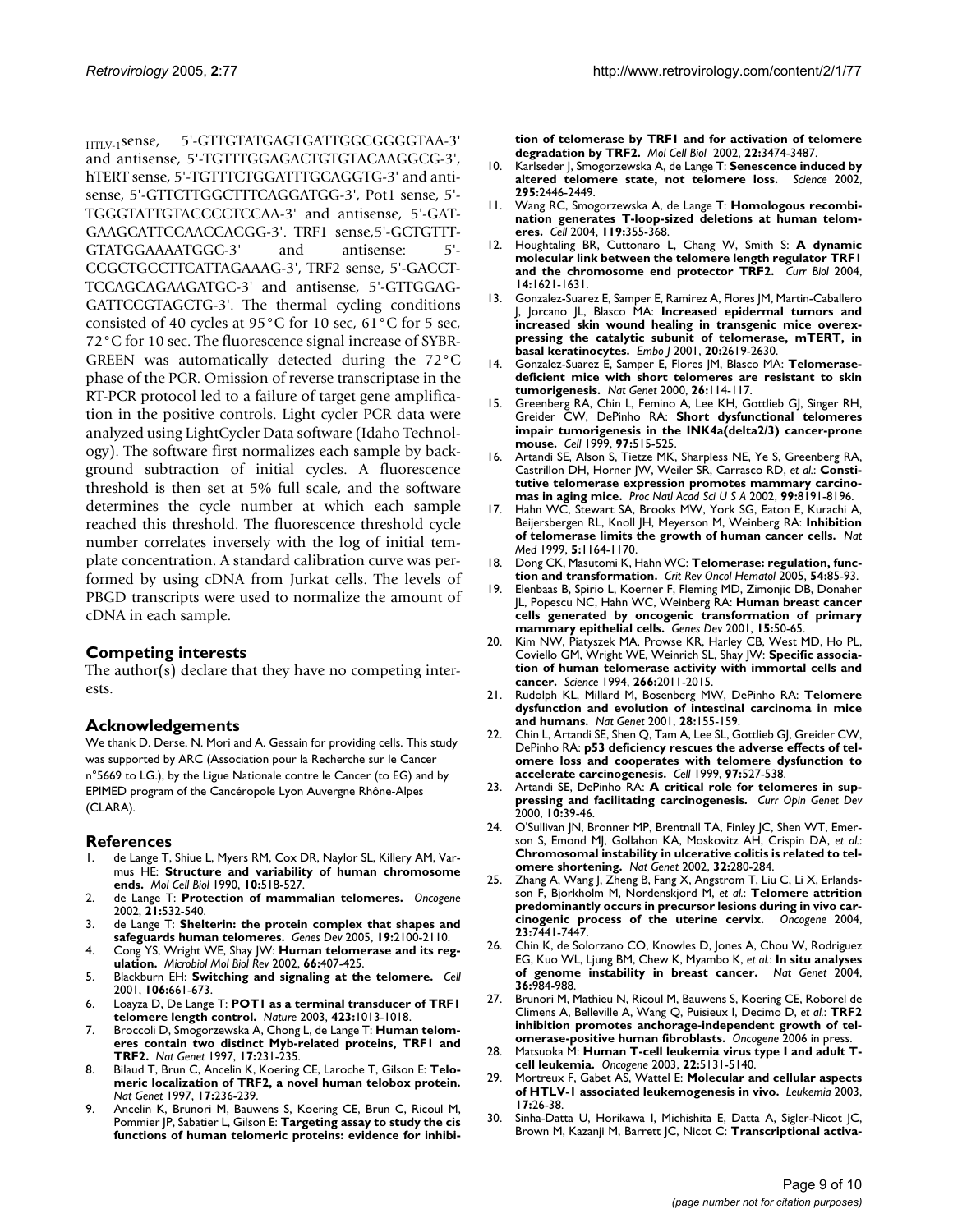HTLV-1sense, 5'-GTTGTATGAGTGATTGGCGGGGTAA-3' and antisense, 5'-TGTTTGGAGACTGTGTACAAGGCG-3', hTERT sense, 5'-TGTTTCTGGATTTGCAGGTG-3' and antisense, 5'-GTTCTTGGCTTTCAGGATGG-3', Pot1 sense, 5'- TGGGTATTGTACCCCTCCAA-3' and antisense, 5'-GAT-GAAGCATTCCAACCACGG-3'. TRF1 sense,5'-GCTGTTT-GTATGGAAAATGGC-3' and antisense: 5'- CCGCTGCCTTCATTAGAAAG-3', TRF2 sense, 5'-GACCT-TCCAGCAGAAGATGC-3' and antisense, 5'-GTTGGAG-GATTCCGTAGCTG-3'. The thermal cycling conditions consisted of 40 cycles at 95°C for 10 sec, 61°C for 5 sec, 72°C for 10 sec. The fluorescence signal increase of SYBR-GREEN was automatically detected during the 72°C phase of the PCR. Omission of reverse transcriptase in the RT-PCR protocol led to a failure of target gene amplification in the positive controls. Light cycler PCR data were analyzed using LightCycler Data software (Idaho Technology). The software first normalizes each sample by background subtraction of initial cycles. A fluorescence threshold is then set at 5% full scale, and the software determines the cycle number at which each sample reached this threshold. The fluorescence threshold cycle number correlates inversely with the log of initial template concentration. A standard calibration curve was performed by using cDNA from Jurkat cells. The levels of PBGD transcripts were used to normalize the amount of cDNA in each sample.

#### **Competing interests**

The author(s) declare that they have no competing interests.

#### **Acknowledgements**

We thank D. Derse, N. Mori and A. Gessain for providing cells. This study was supported by ARC (Association pour la Recherche sur le Cancer n°5669 to LG.), by the Ligue Nationale contre le Cancer (to EG) and by EPIMED program of the Cancéropole Lyon Auvergne Rhône-Alpes (CLARA).

#### **References**

- 1. de Lange T, Shiue L, Myers RM, Cox DR, Naylor SL, Killery AM, Varmus HE: **[Structure and variability of human chromosome](http://www.ncbi.nlm.nih.gov/entrez/query.fcgi?cmd=Retrieve&db=PubMed&dopt=Abstract&list_uids=2300052) [ends.](http://www.ncbi.nlm.nih.gov/entrez/query.fcgi?cmd=Retrieve&db=PubMed&dopt=Abstract&list_uids=2300052)** *Mol Cell Biol* 1990, **10:**518-527.
- 2. de Lange T: **[Protection of mammalian telomeres.](http://www.ncbi.nlm.nih.gov/entrez/query.fcgi?cmd=Retrieve&db=PubMed&dopt=Abstract&list_uids=11850778)** *Oncogene* 2002, **21:**532-540.
- 3. de Lange T: **[Shelterin: the protein complex that shapes and](http://www.ncbi.nlm.nih.gov/entrez/query.fcgi?cmd=Retrieve&db=PubMed&dopt=Abstract&list_uids=16166375) [safeguards human telomeres.](http://www.ncbi.nlm.nih.gov/entrez/query.fcgi?cmd=Retrieve&db=PubMed&dopt=Abstract&list_uids=16166375)** *Genes Dev* 2005, **19:**2100-2110.
- 4. Cong YS, Wright WE, Shay JW: **[Human telomerase and its reg](http://www.ncbi.nlm.nih.gov/entrez/query.fcgi?cmd=Retrieve&db=PubMed&dopt=Abstract&list_uids=12208997)[ulation.](http://www.ncbi.nlm.nih.gov/entrez/query.fcgi?cmd=Retrieve&db=PubMed&dopt=Abstract&list_uids=12208997)** *Microbiol Mol Biol Rev* 2002, **66:**407-425.
- 5. Blackburn EH: **[Switching and signaling at the telomere.](http://www.ncbi.nlm.nih.gov/entrez/query.fcgi?cmd=Retrieve&db=PubMed&dopt=Abstract&list_uids=11572773)** *Cell* 2001, **106:**661-673.
- 6. Loayza D, De Lange T: **[POT1 as a terminal transducer of TRF1](http://www.ncbi.nlm.nih.gov/entrez/query.fcgi?cmd=Retrieve&db=PubMed&dopt=Abstract&list_uids=12768206) [telomere length control.](http://www.ncbi.nlm.nih.gov/entrez/query.fcgi?cmd=Retrieve&db=PubMed&dopt=Abstract&list_uids=12768206)** *Nature* 2003, **423:**1013-1018.
- 7. Broccoli D, Smogorzewska A, Chong L, de Lange T: **[Human telom](http://www.ncbi.nlm.nih.gov/entrez/query.fcgi?cmd=Retrieve&db=PubMed&dopt=Abstract&list_uids=9326950)[eres contain two distinct Myb-related proteins, TRF1 and](http://www.ncbi.nlm.nih.gov/entrez/query.fcgi?cmd=Retrieve&db=PubMed&dopt=Abstract&list_uids=9326950) [TRF2.](http://www.ncbi.nlm.nih.gov/entrez/query.fcgi?cmd=Retrieve&db=PubMed&dopt=Abstract&list_uids=9326950)** *Nat Genet* 1997, **17:**231-235.
- 8. Bilaud T, Brun C, Ancelin K, Koering CE, Laroche T, Gilson E: **[Telo](http://www.ncbi.nlm.nih.gov/entrez/query.fcgi?cmd=Retrieve&db=PubMed&dopt=Abstract&list_uids=9326951)[meric localization of TRF2, a novel human telobox protein.](http://www.ncbi.nlm.nih.gov/entrez/query.fcgi?cmd=Retrieve&db=PubMed&dopt=Abstract&list_uids=9326951)** *Nat Genet* 1997, **17:**236-239.
- 9. Ancelin K, Brunori M, Bauwens S, Koering CE, Brun C, Ricoul M, Pommier JP, Sabatier L, Gilson E: **[Targeting assay to study the cis](http://www.ncbi.nlm.nih.gov/entrez/query.fcgi?cmd=Retrieve&db=PubMed&dopt=Abstract&list_uids=11971978) [functions of human telomeric proteins: evidence for inhibi-](http://www.ncbi.nlm.nih.gov/entrez/query.fcgi?cmd=Retrieve&db=PubMed&dopt=Abstract&list_uids=11971978)**

**[tion of telomerase by TRF1 and for activation of telomere](http://www.ncbi.nlm.nih.gov/entrez/query.fcgi?cmd=Retrieve&db=PubMed&dopt=Abstract&list_uids=11971978) [degradation by TRF2.](http://www.ncbi.nlm.nih.gov/entrez/query.fcgi?cmd=Retrieve&db=PubMed&dopt=Abstract&list_uids=11971978)** *Mol Cell Biol* 2002, **22:**3474-3487.

- 10. Karlseder J, Smogorzewska A, de Lange T: **[Senescence induced by](http://www.ncbi.nlm.nih.gov/entrez/query.fcgi?cmd=Retrieve&db=PubMed&dopt=Abstract&list_uids=11923537) [altered telomere state, not telomere loss.](http://www.ncbi.nlm.nih.gov/entrez/query.fcgi?cmd=Retrieve&db=PubMed&dopt=Abstract&list_uids=11923537)** *Science* 2002, **295:**2446-2449.
- 11. Wang RC, Smogorzewska A, de Lange T: **[Homologous recombi](http://www.ncbi.nlm.nih.gov/entrez/query.fcgi?cmd=Retrieve&db=PubMed&dopt=Abstract&list_uids=15507207)[nation generates T-loop-sized deletions at human telom](http://www.ncbi.nlm.nih.gov/entrez/query.fcgi?cmd=Retrieve&db=PubMed&dopt=Abstract&list_uids=15507207)[eres.](http://www.ncbi.nlm.nih.gov/entrez/query.fcgi?cmd=Retrieve&db=PubMed&dopt=Abstract&list_uids=15507207)** *Cell* 2004, **119:**355-368.
- 12. Houghtaling BR, Cuttonaro L, Chang W, Smith S: **[A dynamic](http://www.ncbi.nlm.nih.gov/entrez/query.fcgi?cmd=Retrieve&db=PubMed&dopt=Abstract&list_uids=15380063) [molecular link between the telomere length regulator TRF1](http://www.ncbi.nlm.nih.gov/entrez/query.fcgi?cmd=Retrieve&db=PubMed&dopt=Abstract&list_uids=15380063) [and the chromosome end protector TRF2.](http://www.ncbi.nlm.nih.gov/entrez/query.fcgi?cmd=Retrieve&db=PubMed&dopt=Abstract&list_uids=15380063)** *Curr Biol* 2004, **14:**1621-1631.
- 13. Gonzalez-Suarez E, Samper E, Ramirez A, Flores JM, Martin-Caballero J, Jorcano JL, Blasco MA: **[Increased epidermal tumors and](http://www.ncbi.nlm.nih.gov/entrez/query.fcgi?cmd=Retrieve&db=PubMed&dopt=Abstract&list_uids=11387197) increased skin wound healing in transgenic mice overex[pressing the catalytic subunit of telomerase, mTERT, in](http://www.ncbi.nlm.nih.gov/entrez/query.fcgi?cmd=Retrieve&db=PubMed&dopt=Abstract&list_uids=11387197) [basal keratinocytes.](http://www.ncbi.nlm.nih.gov/entrez/query.fcgi?cmd=Retrieve&db=PubMed&dopt=Abstract&list_uids=11387197)** *Embo J* 2001, **20:**2619-2630.
- 14. Gonzalez-Suarez E, Samper E, Flores JM, Blasco MA: **[Telomerase](http://www.ncbi.nlm.nih.gov/entrez/query.fcgi?cmd=Retrieve&db=PubMed&dopt=Abstract&list_uids=10973262)[deficient mice with short telomeres are resistant to skin](http://www.ncbi.nlm.nih.gov/entrez/query.fcgi?cmd=Retrieve&db=PubMed&dopt=Abstract&list_uids=10973262) [tumorigenesis.](http://www.ncbi.nlm.nih.gov/entrez/query.fcgi?cmd=Retrieve&db=PubMed&dopt=Abstract&list_uids=10973262)** *Nat Genet* 2000, **26:**114-117.
- 15. Greenberg RA, Chin L, Femino A, Lee KH, Gottlieb GJ, Singer RH, Greider CW, DePinho RA: **[Short dysfunctional telomeres](http://www.ncbi.nlm.nih.gov/entrez/query.fcgi?cmd=Retrieve&db=PubMed&dopt=Abstract&list_uids=10338215) [impair tumorigenesis in the INK4a\(delta2/3\) cancer-prone](http://www.ncbi.nlm.nih.gov/entrez/query.fcgi?cmd=Retrieve&db=PubMed&dopt=Abstract&list_uids=10338215) [mouse.](http://www.ncbi.nlm.nih.gov/entrez/query.fcgi?cmd=Retrieve&db=PubMed&dopt=Abstract&list_uids=10338215)** *Cell* 1999, **97:**515-525.
- 16. Artandi SE, Alson S, Tietze MK, Sharpless NE, Ye S, Greenberg RA, Castrillon DH, Horner JW, Weiler SR, Carrasco RD, *et al.*: **[Consti](http://www.ncbi.nlm.nih.gov/entrez/query.fcgi?cmd=Retrieve&db=PubMed&dopt=Abstract&list_uids=12034875)[tutive telomerase expression promotes mammary carcino](http://www.ncbi.nlm.nih.gov/entrez/query.fcgi?cmd=Retrieve&db=PubMed&dopt=Abstract&list_uids=12034875)[mas in aging mice.](http://www.ncbi.nlm.nih.gov/entrez/query.fcgi?cmd=Retrieve&db=PubMed&dopt=Abstract&list_uids=12034875)** *Proc Natl Acad Sci U S A* 2002, **99:**8191-8196.
- 17. Hahn WC, Stewart SA, Brooks MW, York SG, Eaton E, Kurachi A, Beijersbergen RL, Knoll JH, Meyerson M, Weinberg RA: **[Inhibition](http://www.ncbi.nlm.nih.gov/entrez/query.fcgi?cmd=Retrieve&db=PubMed&dopt=Abstract&list_uids=10502820) [of telomerase limits the growth of human cancer cells.](http://www.ncbi.nlm.nih.gov/entrez/query.fcgi?cmd=Retrieve&db=PubMed&dopt=Abstract&list_uids=10502820)** *Nat Med* 1999, **5:**1164-1170.
- 18. Dong CK, Masutomi K, Hahn WC: **[Telomerase: regulation, func](http://www.ncbi.nlm.nih.gov/entrez/query.fcgi?cmd=Retrieve&db=PubMed&dopt=Abstract&list_uids=15843091)[tion and transformation.](http://www.ncbi.nlm.nih.gov/entrez/query.fcgi?cmd=Retrieve&db=PubMed&dopt=Abstract&list_uids=15843091)** *Crit Rev Oncol Hematol* 2005, **54:**85-93.
- 19. Elenbaas B, Spirio L, Koerner F, Fleming MD, Zimonjic DB, Donaher JL, Popescu NC, Hahn WC, Weinberg RA: **[Human breast cancer](http://www.ncbi.nlm.nih.gov/entrez/query.fcgi?cmd=Retrieve&db=PubMed&dopt=Abstract&list_uids=11156605) [cells generated by oncogenic transformation of primary](http://www.ncbi.nlm.nih.gov/entrez/query.fcgi?cmd=Retrieve&db=PubMed&dopt=Abstract&list_uids=11156605) [mammary epithelial cells.](http://www.ncbi.nlm.nih.gov/entrez/query.fcgi?cmd=Retrieve&db=PubMed&dopt=Abstract&list_uids=11156605)** *Genes Dev* 2001, **15:**50-65.
- 20. Kim NW, Piatyszek MA, Prowse KR, Harley CB, West MD, Ho PL, Coviello GM, Wright WE, Weinrich SL, Shay JW: **[Specific associa](http://www.ncbi.nlm.nih.gov/entrez/query.fcgi?cmd=Retrieve&db=PubMed&dopt=Abstract&list_uids=7605428)[tion of human telomerase activity with immortal cells and](http://www.ncbi.nlm.nih.gov/entrez/query.fcgi?cmd=Retrieve&db=PubMed&dopt=Abstract&list_uids=7605428) [cancer.](http://www.ncbi.nlm.nih.gov/entrez/query.fcgi?cmd=Retrieve&db=PubMed&dopt=Abstract&list_uids=7605428)** *Science* 1994, **266:**2011-2015.
- 21. Rudolph KL, Millard M, Bosenberg MW, DePinho RA: **[Telomere](http://www.ncbi.nlm.nih.gov/entrez/query.fcgi?cmd=Retrieve&db=PubMed&dopt=Abstract&list_uids=11381263) [dysfunction and evolution of intestinal carcinoma in mice](http://www.ncbi.nlm.nih.gov/entrez/query.fcgi?cmd=Retrieve&db=PubMed&dopt=Abstract&list_uids=11381263) [and humans.](http://www.ncbi.nlm.nih.gov/entrez/query.fcgi?cmd=Retrieve&db=PubMed&dopt=Abstract&list_uids=11381263)** *Nat Genet* 2001, **28:**155-159.
- 22. Chin L, Artandi SE, Shen Q, Tam A, Lee SL, Gottlieb GJ, Greider CW, DePinho RA: **[p53 deficiency rescues the adverse effects of tel](http://www.ncbi.nlm.nih.gov/entrez/query.fcgi?cmd=Retrieve&db=PubMed&dopt=Abstract&list_uids=10338216)[omere loss and cooperates with telomere dysfunction to](http://www.ncbi.nlm.nih.gov/entrez/query.fcgi?cmd=Retrieve&db=PubMed&dopt=Abstract&list_uids=10338216) [accelerate carcinogenesis.](http://www.ncbi.nlm.nih.gov/entrez/query.fcgi?cmd=Retrieve&db=PubMed&dopt=Abstract&list_uids=10338216)** *Cell* 1999, **97:**527-538.
- 23. Artandi SE, DePinho RA: **[A critical role for telomeres in sup](http://www.ncbi.nlm.nih.gov/entrez/query.fcgi?cmd=Retrieve&db=PubMed&dopt=Abstract&list_uids=10679392)[pressing and facilitating carcinogenesis.](http://www.ncbi.nlm.nih.gov/entrez/query.fcgi?cmd=Retrieve&db=PubMed&dopt=Abstract&list_uids=10679392)** *Curr Opin Genet Dev* 2000, **10:**39-46.
- 24. O'Sullivan JN, Bronner MP, Brentnall TA, Finley JC, Shen WT, Emerson S, Emond MJ, Gollahon KA, Moskovitz AH, Crispin DA, *et al.*: **[Chromosomal instability in ulcerative colitis is related to tel](http://www.ncbi.nlm.nih.gov/entrez/query.fcgi?cmd=Retrieve&db=PubMed&dopt=Abstract&list_uids=12355086)[omere shortening.](http://www.ncbi.nlm.nih.gov/entrez/query.fcgi?cmd=Retrieve&db=PubMed&dopt=Abstract&list_uids=12355086)** *Nat Genet* 2002, **32:**280-284.
- 25. Zhang A, Wang J, Zheng B, Fang X, Angstrom T, Liu C, Li X, Erlandsson F, Bjorkholm M, Nordenskjord M, *et al.*: **[Telomere attrition](http://www.ncbi.nlm.nih.gov/entrez/query.fcgi?cmd=Retrieve&db=PubMed&dopt=Abstract&list_uids=15318175) [predominantly occurs in precursor lesions during in vivo car](http://www.ncbi.nlm.nih.gov/entrez/query.fcgi?cmd=Retrieve&db=PubMed&dopt=Abstract&list_uids=15318175)[cinogenic process of the uterine cervix.](http://www.ncbi.nlm.nih.gov/entrez/query.fcgi?cmd=Retrieve&db=PubMed&dopt=Abstract&list_uids=15318175)** *Oncogene* 2004, **23:**7441-7447.
- 26. Chin K, de Solorzano CO, Knowles D, Jones A, Chou W, Rodriguez EG, Kuo WL, Ljung BM, Chew K, Myambo K, *et al.*: **[In situ analyses](http://www.ncbi.nlm.nih.gov/entrez/query.fcgi?cmd=Retrieve&db=PubMed&dopt=Abstract&list_uids=15300252) [of genome instability in breast cancer.](http://www.ncbi.nlm.nih.gov/entrez/query.fcgi?cmd=Retrieve&db=PubMed&dopt=Abstract&list_uids=15300252)** *Nat Genet* 2004, **36:**984-988.
- 27. Brunori M, Mathieu N, Ricoul M, Bauwens S, Koering CE, Roborel de Climens A, Belleville A, Wang Q, Puisieux I, Decimo D, *et al.*: **TRF2 inhibition promotes anchorage-independent growth of telomerase-positive human fibroblasts.** *Oncogene* 2006 in press.
- 28. Matsuoka M: **[Human T-cell leukemia virus type I and adult T](http://www.ncbi.nlm.nih.gov/entrez/query.fcgi?cmd=Retrieve&db=PubMed&dopt=Abstract&list_uids=12910250)[cell leukemia.](http://www.ncbi.nlm.nih.gov/entrez/query.fcgi?cmd=Retrieve&db=PubMed&dopt=Abstract&list_uids=12910250)** *Oncogene* 2003, **22:**5131-5140.
- 29. Mortreux F, Gabet AS, Wattel E: **[Molecular and cellular aspects](http://www.ncbi.nlm.nih.gov/entrez/query.fcgi?cmd=Retrieve&db=PubMed&dopt=Abstract&list_uids=12529656) [of HTLV-1 associated leukemogenesis in vivo.](http://www.ncbi.nlm.nih.gov/entrez/query.fcgi?cmd=Retrieve&db=PubMed&dopt=Abstract&list_uids=12529656)** *Leukemia* 2003, **17:**26-38.
- 30. Sinha-Datta U, Horikawa I, Michishita E, Datta A, Sigler-Nicot JC, Brown M, Kazanji M, Barrett JC, Nicot C: **[Transcriptional activa](http://www.ncbi.nlm.nih.gov/entrez/query.fcgi?cmd=Retrieve&db=PubMed&dopt=Abstract&list_uids=15226182)-**